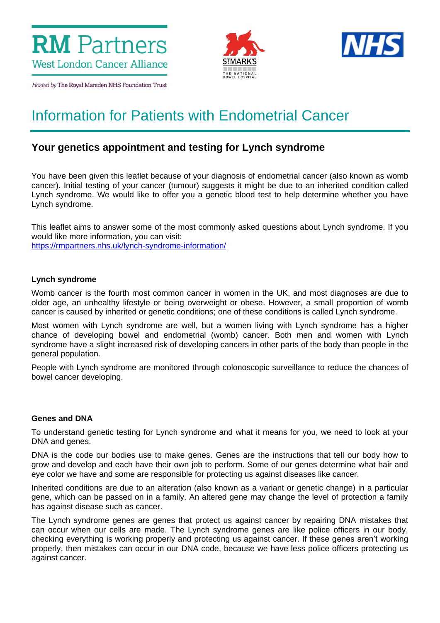



Hosted by The Royal Marsden NHS Foundation Trust

# Information for Patients with Endometrial Cancer

# **Your genetics appointment and testing for Lynch syndrome**

You have been given this leaflet because of your diagnosis of endometrial cancer (also known as womb cancer). Initial testing of your cancer (tumour) suggests it might be due to an inherited condition called Lynch syndrome. We would like to offer you a genetic blood test to help determine whether you have Lynch syndrome.

This leaflet aims to answer some of the most commonly asked questions about Lynch syndrome. If you would like more information, you can visit: <https://rmpartners.nhs.uk/lynch-syndrome-information/>

# **Lynch syndrome**

Womb cancer is the fourth most common cancer in women in the UK, and most diagnoses are due to older age, an unhealthy lifestyle or being overweight or obese. However, a small proportion of womb cancer is caused by inherited or genetic conditions; one of these conditions is called Lynch syndrome.

Most women with Lynch syndrome are well, but a women living with Lynch syndrome has a higher chance of developing bowel and endometrial (womb) cancer. Both men and women with Lynch syndrome have a slight increased risk of developing cancers in other parts of the body than people in the general population.

People with Lynch syndrome are monitored through colonoscopic surveillance to reduce the chances of bowel cancer developing.

#### **Genes and DNA**

To understand genetic testing for Lynch syndrome and what it means for you, we need to look at your DNA and genes.

DNA is the code our bodies use to make genes. Genes are the instructions that tell our body how to grow and develop and each have their own job to perform. Some of our genes determine what hair and eye color we have and some are responsible for protecting us against diseases like cancer.

Inherited conditions are due to an alteration (also known as a variant or genetic change) in a particular gene, which can be passed on in a family. An altered gene may change the level of protection a family has against disease such as cancer.

The Lynch syndrome genes are genes that protect us against cancer by repairing DNA mistakes that can occur when our cells are made. The Lynch syndrome genes are like police officers in our body, checking everything is working properly and protecting us against cancer. If these genes aren't working properly, then mistakes can occur in our DNA code, because we have less police officers protecting us against cancer.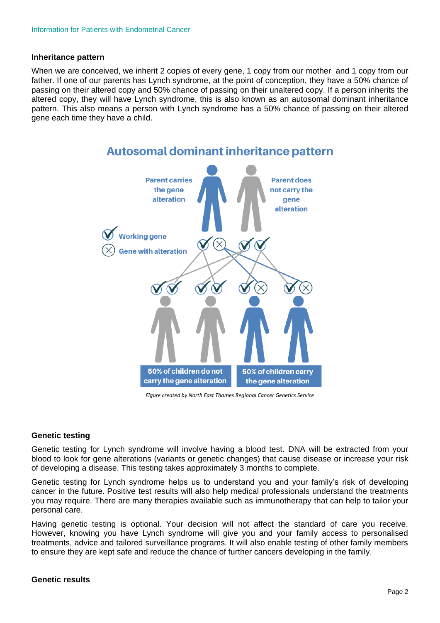#### **Inheritance pattern**

When we are conceived, we inherit 2 copies of every gene, 1 copy from our mother and 1 copy from our father. If one of our parents has Lynch syndrome, at the point of conception, they have a 50% chance of passing on their altered copy and 50% chance of passing on their unaltered copy. If a person inherits the altered copy, they will have Lynch syndrome, this is also known as an autosomal dominant inheritance pattern. This also means a person with Lynch syndrome has a 50% chance of passing on their altered gene each time they have a child.



 *Figure created by North East Thames Regional Cancer Genetics Service*

#### **Genetic testing**

Genetic testing for Lynch syndrome will involve having a blood test. DNA will be extracted from your blood to look for gene alterations (variants or genetic changes) that cause disease or increase your risk of developing a disease. This testing takes approximately 3 months to complete.

Genetic testing for Lynch syndrome helps us to understand you and your family's risk of developing cancer in the future. Positive test results will also help medical professionals understand the treatments you may require. There are many therapies available such as immunotherapy that can help to tailor your personal care.

Having genetic testing is optional. Your decision will not affect the standard of care you receive. However, knowing you have Lynch syndrome will give you and your family access to personalised treatments, advice and tailored surveillance programs. It will also enable testing of other family members to ensure they are kept safe and reduce the chance of further cancers developing in the family.